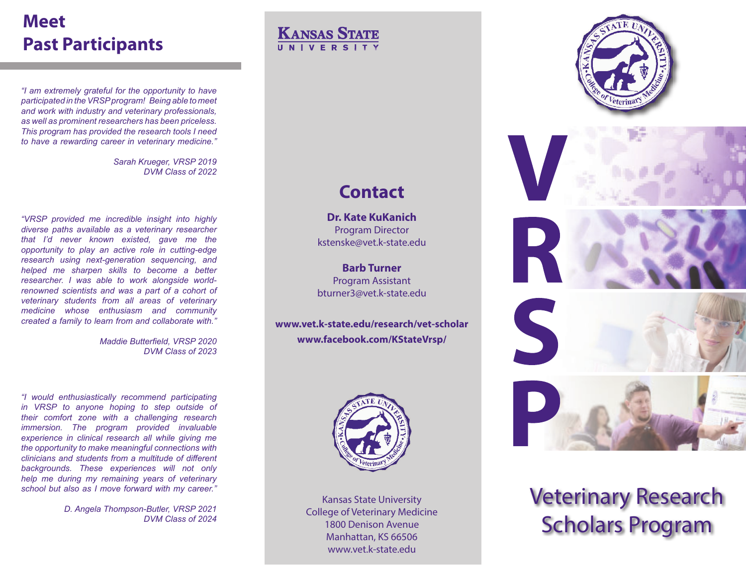## **Meet Past Participants**

*"I am extremely grateful for the opportunity to have participated in the VRSP program! Being able to meet and work with industry and veterinary professionals, as well as prominent researchers has been priceless. This program has provided the research tools I need to have a rewarding career in veterinary medicine."*

> *Sarah Krueger, VRSP 2019 DVM Class of 2022*

*"VRSP provided me incredible insight into highly diverse paths available as a veterinary researcher that I'd never known existed, gave me the opportunity to play an active role in cutting-edge research using next-generation sequencing, and helped me sharpen skills to become a better researcher. I was able to work alongside worldrenowned scientists and was a part of a cohort of veterinary students from all areas of veterinary medicine whose enthusiasm and community created a family to learn from and collaborate with."*

> *Maddie Butterfield, VRSP 2020 DVM Class of 2023*

*"I would enthusiastically recommend participating in VRSP to anyone hoping to step outside of their comfort zone with a challenging research immersion. The program provided invaluable experience in clinical research all while giving me the opportunity to make meaningful connections with clinicians and students from a multitude of different backgrounds. These experiences will not only help me during my remaining years of veterinary school but also as I move forward with my career."*

> *D. Angela Thompson-Butler, VRSP 2021 DVM Class of 2024*

KANSAS STATE

# **Contact**

**Dr. Kate KuKanich**Program Director kstenske@vet.k-state.edu

**Barb Turner**Program Assistant bturner3@vet.k-state.edu

**www.vet.k-state.edu/research/vet-scholar www.facebook.com/KStateVrsp/**



Kansas State University College of Veterinary Medicine 1800 Denison AvenueManhattan, KS 66506 www.vet.k-state.edu





Veterinary Research Scholars Program